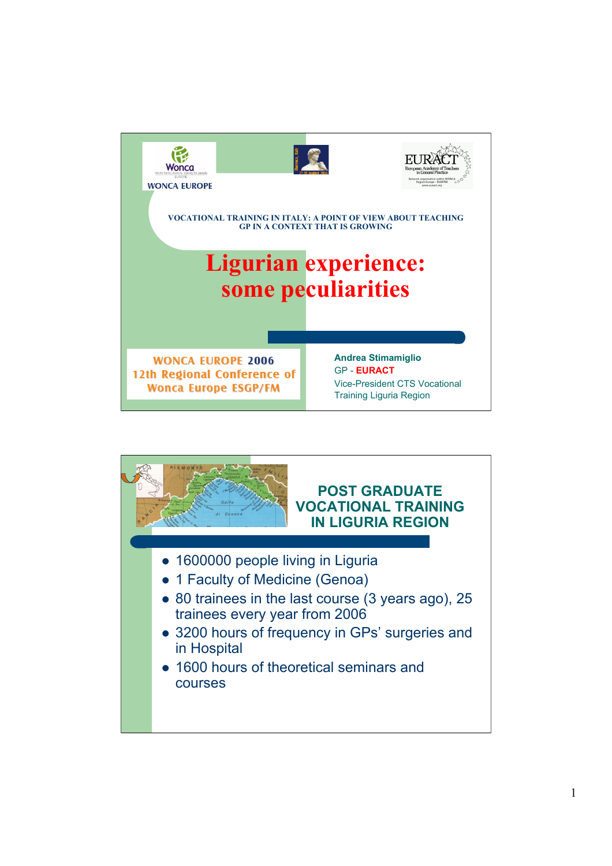

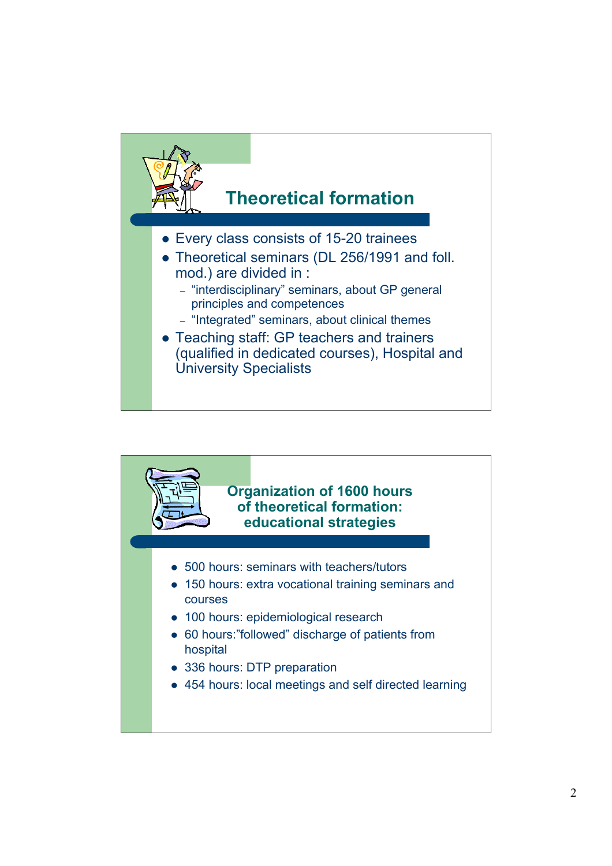

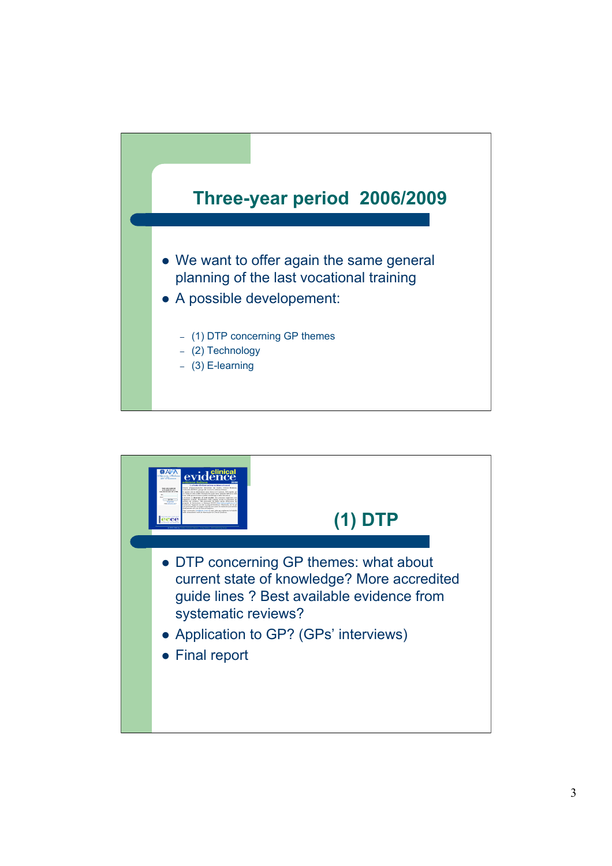

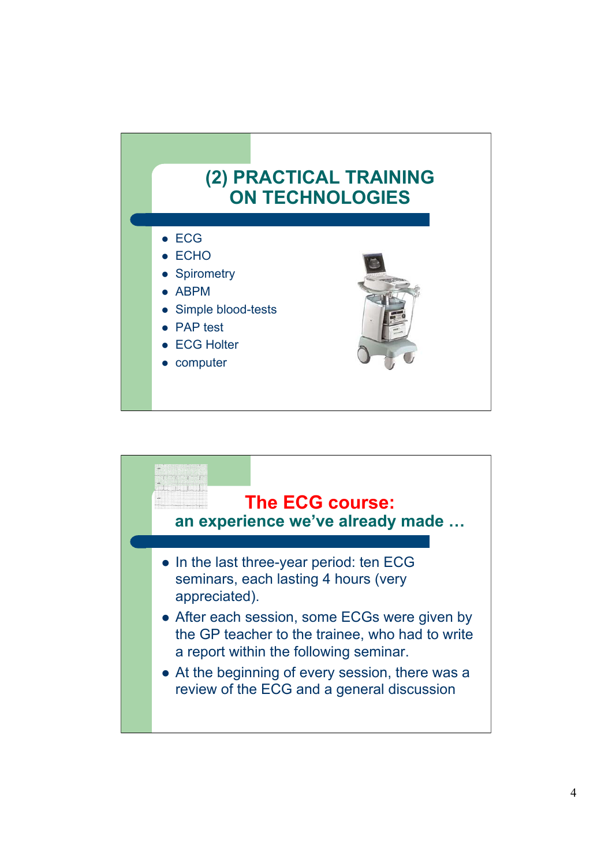